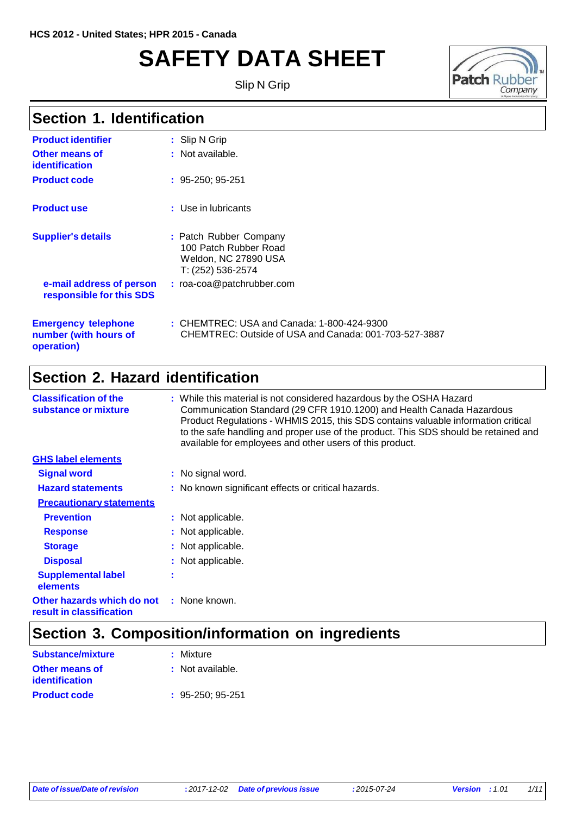# **SAFETY DATA SHEET**

Slip N Grip



#### **Section 1. Identification**

| <b>Product identifier</b>                                         | : Slip N Grip                                                                                       |
|-------------------------------------------------------------------|-----------------------------------------------------------------------------------------------------|
| Other means of<br>identification                                  | : Not available.                                                                                    |
| <b>Product code</b>                                               | $: 95-250; 95-251$                                                                                  |
| <b>Product use</b>                                                | : Use in lubricants                                                                                 |
| <b>Supplier's details</b>                                         | : Patch Rubber Company<br>100 Patch Rubber Road<br>Weldon, NC 27890 USA<br>T: (252) 536-2574        |
| e-mail address of person<br>responsible for this SDS              | : roa-coa@patchrubber.com                                                                           |
| <b>Emergency telephone</b><br>number (with hours of<br>operation) | : CHEMTREC: USA and Canada: 1-800-424-9300<br>CHEMTREC: Outside of USA and Canada: 001-703-527-3887 |

#### **Section 2. Hazard identification**

| <b>Classification of the</b><br>substance or mixture   |   | : While this material is not considered hazardous by the OSHA Hazard<br>Communication Standard (29 CFR 1910.1200) and Health Canada Hazardous<br>Product Regulations - WHMIS 2015, this SDS contains valuable information critical<br>to the safe handling and proper use of the product. This SDS should be retained and<br>available for employees and other users of this product. |
|--------------------------------------------------------|---|---------------------------------------------------------------------------------------------------------------------------------------------------------------------------------------------------------------------------------------------------------------------------------------------------------------------------------------------------------------------------------------|
| <b>GHS label elements</b>                              |   |                                                                                                                                                                                                                                                                                                                                                                                       |
| <b>Signal word</b>                                     |   | : No signal word.                                                                                                                                                                                                                                                                                                                                                                     |
| <b>Hazard statements</b>                               |   | : No known significant effects or critical hazards.                                                                                                                                                                                                                                                                                                                                   |
| <b>Precautionary statements</b>                        |   |                                                                                                                                                                                                                                                                                                                                                                                       |
| <b>Prevention</b>                                      |   | : Not applicable.                                                                                                                                                                                                                                                                                                                                                                     |
| <b>Response</b>                                        |   | : Not applicable.                                                                                                                                                                                                                                                                                                                                                                     |
| <b>Storage</b>                                         |   | : Not applicable.                                                                                                                                                                                                                                                                                                                                                                     |
| <b>Disposal</b>                                        |   | : Not applicable.                                                                                                                                                                                                                                                                                                                                                                     |
| <b>Supplemental label</b><br>elements                  | ٠ |                                                                                                                                                                                                                                                                                                                                                                                       |
| Other hazards which do not<br>result in classification |   | : None known.                                                                                                                                                                                                                                                                                                                                                                         |

### **Section 3. Composition/information on ingredients**

| <b>Substance/mixture</b> | : Mixture          |
|--------------------------|--------------------|
| Other means of           | : Not available.   |
| identification           |                    |
| <b>Product code</b>      | $: 95-250: 95-251$ |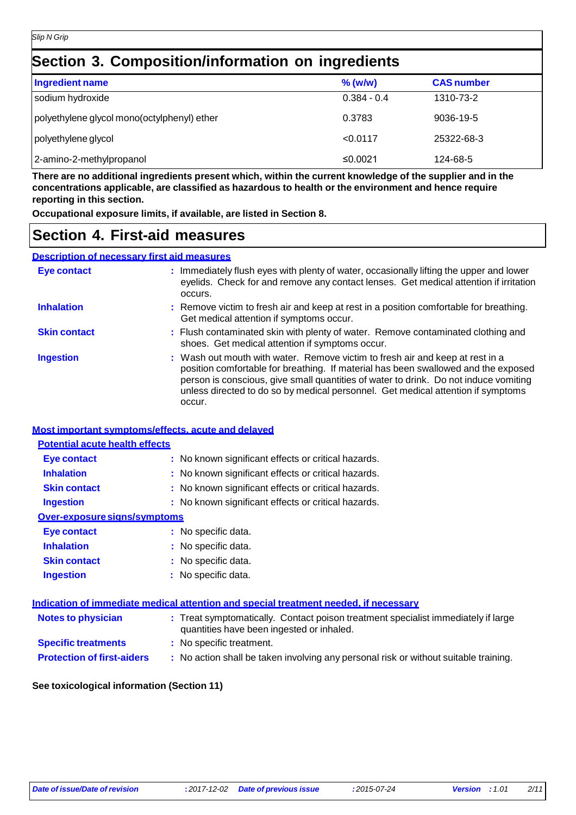#### **Section 3. Composition/information on ingredients**

| <b>Ingredient name</b>                      | $%$ (w/w)     | <b>CAS number</b> |
|---------------------------------------------|---------------|-------------------|
| sodium hydroxide                            | $0.384 - 0.4$ | 1310-73-2         |
| polyethylene glycol mono(octylphenyl) ether | 0.3783        | 9036-19-5         |
| polyethylene glycol                         | < 0.0117      | 25322-68-3        |
| 2-amino-2-methylpropanol                    | ≤0.0021       | 124-68-5          |

There are no additional ingredients present which, within the current knowledge of the supplier and in the **concentrations applicable, are classified as hazardous to health or the environment and hence require reporting in this section.**

**Occupational exposure limits, if available, are listed in Section 8.**

#### **Section 4. First-aid measures**

#### **Description of necessary first aid measures**

| <b>Eye contact</b>  | : Immediately flush eyes with plenty of water, occasionally lifting the upper and lower<br>eyelids. Check for and remove any contact lenses. Get medical attention if irritation<br>occurs.                                                                                                                                                               |
|---------------------|-----------------------------------------------------------------------------------------------------------------------------------------------------------------------------------------------------------------------------------------------------------------------------------------------------------------------------------------------------------|
| <b>Inhalation</b>   | : Remove victim to fresh air and keep at rest in a position comfortable for breathing.<br>Get medical attention if symptoms occur.                                                                                                                                                                                                                        |
| <b>Skin contact</b> | : Flush contaminated skin with plenty of water. Remove contaminated clothing and<br>shoes. Get medical attention if symptoms occur.                                                                                                                                                                                                                       |
| <b>Ingestion</b>    | : Wash out mouth with water. Remove victim to fresh air and keep at rest in a<br>position comfortable for breathing. If material has been swallowed and the exposed<br>person is conscious, give small quantities of water to drink. Do not induce vomiting<br>unless directed to do so by medical personnel. Get medical attention if symptoms<br>occur. |

#### **Most important symptoms/effects, acute and delayed**

| <b>Potential acute health effects</b> |                                                     |
|---------------------------------------|-----------------------------------------------------|
| Eye contact                           | : No known significant effects or critical hazards. |
| <b>Inhalation</b>                     | : No known significant effects or critical hazards. |
| <b>Skin contact</b>                   | : No known significant effects or critical hazards. |
| <b>Ingestion</b>                      | : No known significant effects or critical hazards. |
| Over-exposure signs/symptoms          |                                                     |
| Eye contact                           | : No specific data.                                 |
| <b>Inhalation</b>                     | : No specific data.                                 |
| <b>Skin contact</b>                   | : No specific data.                                 |
| <b>Ingestion</b>                      | : No specific data.                                 |

| Indication of immediate medical attention and special treatment needed, if necessary |                                                                                                                                |  |  |
|--------------------------------------------------------------------------------------|--------------------------------------------------------------------------------------------------------------------------------|--|--|
| <b>Notes to physician</b>                                                            | : Treat symptomatically. Contact poison treatment specialist immediately if large<br>quantities have been ingested or inhaled. |  |  |
| <b>Specific treatments</b>                                                           | : No specific treatment.                                                                                                       |  |  |
| <b>Protection of first-aiders</b>                                                    | : No action shall be taken involving any personal risk or without suitable training.                                           |  |  |

#### **See toxicological information (Section 11)**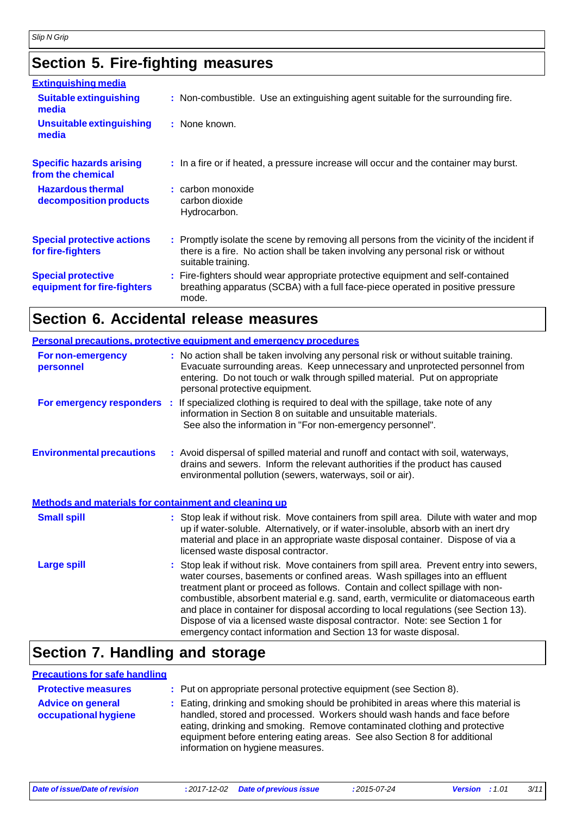### **Section 5. Fire-fighting measures**

| <b>Extinguishing media</b>                               |                                                                                                                                                                                                     |
|----------------------------------------------------------|-----------------------------------------------------------------------------------------------------------------------------------------------------------------------------------------------------|
| <b>Suitable extinguishing</b><br>media                   | : Non-combustible. Use an extinguishing agent suitable for the surrounding fire.                                                                                                                    |
| <b>Unsuitable extinguishing</b><br>media                 | : None known.                                                                                                                                                                                       |
| <b>Specific hazards arising</b><br>from the chemical     | : In a fire or if heated, a pressure increase will occur and the container may burst.                                                                                                               |
| <b>Hazardous thermal</b><br>decomposition products       | : carbon monoxide<br>carbon dioxide<br>Hydrocarbon.                                                                                                                                                 |
| <b>Special protective actions</b><br>for fire-fighters   | : Promptly isolate the scene by removing all persons from the vicinity of the incident if<br>there is a fire. No action shall be taken involving any personal risk or without<br>suitable training. |
| <b>Special protective</b><br>equipment for fire-fighters | : Fire-fighters should wear appropriate protective equipment and self-contained<br>breathing apparatus (SCBA) with a full face-piece operated in positive pressure<br>mode.                         |

### **Section 6. Accidental release measures**

|                                                       | <b>Personal precautions, protective equipment and emergency procedures</b>                                                                                                                                                                                                                                                                                                                                                                                                                                                                                                                  |
|-------------------------------------------------------|---------------------------------------------------------------------------------------------------------------------------------------------------------------------------------------------------------------------------------------------------------------------------------------------------------------------------------------------------------------------------------------------------------------------------------------------------------------------------------------------------------------------------------------------------------------------------------------------|
| <b>For non-emergency</b><br>personnel                 | : No action shall be taken involving any personal risk or without suitable training.<br>Evacuate surrounding areas. Keep unnecessary and unprotected personnel from<br>entering. Do not touch or walk through spilled material. Put on appropriate<br>personal protective equipment.                                                                                                                                                                                                                                                                                                        |
| For emergency responders :                            | If specialized clothing is required to deal with the spillage, take note of any<br>information in Section 8 on suitable and unsuitable materials.<br>See also the information in "For non-emergency personnel".                                                                                                                                                                                                                                                                                                                                                                             |
| <b>Environmental precautions</b>                      | : Avoid dispersal of spilled material and runoff and contact with soil, waterways,<br>drains and sewers. Inform the relevant authorities if the product has caused<br>environmental pollution (sewers, waterways, soil or air).                                                                                                                                                                                                                                                                                                                                                             |
| Methods and materials for containment and cleaning up |                                                                                                                                                                                                                                                                                                                                                                                                                                                                                                                                                                                             |
| <b>Small spill</b>                                    | : Stop leak if without risk. Move containers from spill area. Dilute with water and mop<br>up if water-soluble. Alternatively, or if water-insoluble, absorb with an inert dry<br>material and place in an appropriate waste disposal container. Dispose of via a<br>licensed waste disposal contractor.                                                                                                                                                                                                                                                                                    |
| <b>Large spill</b>                                    | : Stop leak if without risk. Move containers from spill area. Prevent entry into sewers,<br>water courses, basements or confined areas. Wash spillages into an effluent<br>treatment plant or proceed as follows. Contain and collect spillage with non-<br>combustible, absorbent material e.g. sand, earth, vermiculite or diatomaceous earth<br>and place in container for disposal according to local regulations (see Section 13).<br>Dispose of via a licensed waste disposal contractor. Note: see Section 1 for<br>emergency contact information and Section 13 for waste disposal. |

### **Section 7. Handling and storage**

#### **Precautions for safe handling**

| <b>Protective measures</b>                       | : Put on appropriate personal protective equipment (see Section 8).                                                                                                                                                                                                                                                                                           |
|--------------------------------------------------|---------------------------------------------------------------------------------------------------------------------------------------------------------------------------------------------------------------------------------------------------------------------------------------------------------------------------------------------------------------|
| <b>Advice on general</b><br>occupational hygiene | : Eating, drinking and smoking should be prohibited in areas where this material is<br>handled, stored and processed. Workers should wash hands and face before<br>eating, drinking and smoking. Remove contaminated clothing and protective<br>equipment before entering eating areas. See also Section 8 for additional<br>information on hygiene measures. |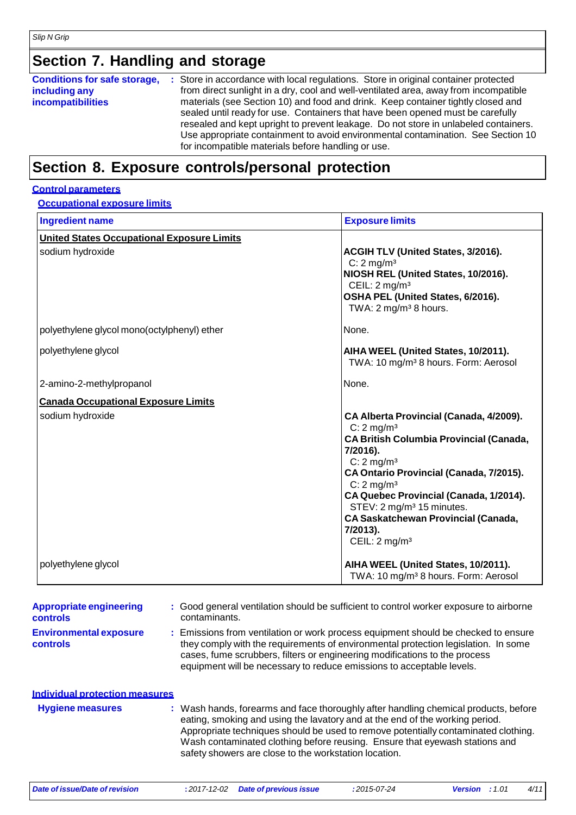### **Section 7. Handling and storage**

| <b>Conditions for safe storage,</b> | : Store in accordance with local regulations. Store in original container protected  |
|-------------------------------------|--------------------------------------------------------------------------------------|
| including any                       | from direct sunlight in a dry, cool and well-ventilated area, away from incompatible |
| <i>incompatibilities</i>            | materials (see Section 10) and food and drink. Keep container tightly closed and     |
|                                     | sealed until ready for use. Containers that have been opened must be carefully       |
|                                     | resealed and kept upright to prevent leakage. Do not store in unlabeled containers.  |
|                                     | Use appropriate containment to avoid environmental contamination. See Section 10     |
|                                     | for incompatible materials before handling or use.                                   |
|                                     |                                                                                      |

#### **Section 8. Exposure controls/personal protection**

#### **Control parameters**

**Occupational exposure limits**

| <b>Ingredient name</b>                            | <b>Exposure limits</b>                                                                                                                                                                                                                                                                                                                                                                                        |
|---------------------------------------------------|---------------------------------------------------------------------------------------------------------------------------------------------------------------------------------------------------------------------------------------------------------------------------------------------------------------------------------------------------------------------------------------------------------------|
| <b>United States Occupational Exposure Limits</b> |                                                                                                                                                                                                                                                                                                                                                                                                               |
| sodium hydroxide                                  | ACGIH TLV (United States, 3/2016).<br>$C: 2$ mg/m <sup>3</sup><br>NIOSH REL (United States, 10/2016).<br>CEIL: $2 \text{ mg/m}^3$<br>OSHA PEL (United States, 6/2016).<br>TWA: 2 mg/m <sup>3</sup> 8 hours.                                                                                                                                                                                                   |
| polyethylene glycol mono(octylphenyl) ether       | None.                                                                                                                                                                                                                                                                                                                                                                                                         |
| polyethylene glycol                               | AIHA WEEL (United States, 10/2011).<br>TWA: 10 mg/m <sup>3</sup> 8 hours. Form: Aerosol                                                                                                                                                                                                                                                                                                                       |
| 2-amino-2-methylpropanol                          | None.                                                                                                                                                                                                                                                                                                                                                                                                         |
| <b>Canada Occupational Exposure Limits</b>        |                                                                                                                                                                                                                                                                                                                                                                                                               |
| sodium hydroxide                                  | CA Alberta Provincial (Canada, 4/2009).<br>$C: 2$ mg/m <sup>3</sup><br><b>CA British Columbia Provincial (Canada,</b><br>7/2016).<br>$C: 2$ mg/m <sup>3</sup><br>CA Ontario Provincial (Canada, 7/2015).<br>$C: 2$ mg/m <sup>3</sup><br>CA Quebec Provincial (Canada, 1/2014).<br>STEV: 2 mg/m <sup>3</sup> 15 minutes.<br><b>CA Saskatchewan Provincial (Canada,</b><br>7/2013).<br>CEIL: $2 \text{ mg/m}^3$ |
| polyethylene glycol                               | AIHA WEEL (United States, 10/2011).<br>TWA: 10 mg/m <sup>3</sup> 8 hours. Form: Aerosol                                                                                                                                                                                                                                                                                                                       |

| <b>Appropriate engineering</b><br><b>controls</b> | : Good general ventilation should be sufficient to control worker exposure to airborne<br>contaminants.                                                                                                                                                                                                                                                                                           |
|---------------------------------------------------|---------------------------------------------------------------------------------------------------------------------------------------------------------------------------------------------------------------------------------------------------------------------------------------------------------------------------------------------------------------------------------------------------|
| <b>Environmental exposure</b><br>controls         | : Emissions from ventilation or work process equipment should be checked to ensure<br>they comply with the requirements of environmental protection legislation. In some<br>cases, fume scrubbers, filters or engineering modifications to the process<br>equipment will be necessary to reduce emissions to acceptable levels.                                                                   |
| <b>Individual protection measures</b>             |                                                                                                                                                                                                                                                                                                                                                                                                   |
| <b>Hygiene measures</b>                           | : Wash hands, forearms and face thoroughly after handling chemical products, before<br>eating, smoking and using the lavatory and at the end of the working period.<br>Appropriate techniques should be used to remove potentially contaminated clothing.<br>Wash contaminated clothing before reusing. Ensure that eyewash stations and<br>safety showers are close to the workstation location. |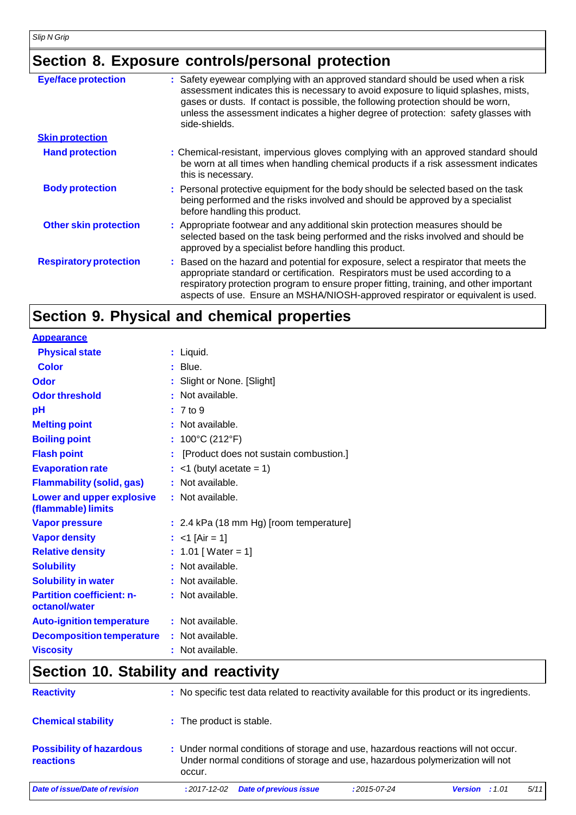### **Section 8. Exposure controls/personal protection**

| <b>Eye/face protection</b>    | : Safety eyewear complying with an approved standard should be used when a risk<br>assessment indicates this is necessary to avoid exposure to liquid splashes, mists,<br>gases or dusts. If contact is possible, the following protection should be worn,<br>unless the assessment indicates a higher degree of protection: safety glasses with<br>side-shields. |
|-------------------------------|-------------------------------------------------------------------------------------------------------------------------------------------------------------------------------------------------------------------------------------------------------------------------------------------------------------------------------------------------------------------|
| <b>Skin protection</b>        |                                                                                                                                                                                                                                                                                                                                                                   |
| <b>Hand protection</b>        | : Chemical-resistant, impervious gloves complying with an approved standard should<br>be worn at all times when handling chemical products if a risk assessment indicates<br>this is necessary.                                                                                                                                                                   |
| <b>Body protection</b>        | : Personal protective equipment for the body should be selected based on the task<br>being performed and the risks involved and should be approved by a specialist<br>before handling this product.                                                                                                                                                               |
| <b>Other skin protection</b>  | : Appropriate footwear and any additional skin protection measures should be<br>selected based on the task being performed and the risks involved and should be<br>approved by a specialist before handling this product.                                                                                                                                         |
| <b>Respiratory protection</b> | : Based on the hazard and potential for exposure, select a respirator that meets the<br>appropriate standard or certification. Respirators must be used according to a<br>respiratory protection program to ensure proper fitting, training, and other important<br>aspects of use. Ensure an MSHA/NIOSH-approved respirator or equivalent is used.               |

## **Section 9. Physical and chemical properties**

| <b>Appearance</b>                                 |                                         |
|---------------------------------------------------|-----------------------------------------|
| <b>Physical state</b>                             | : Liquid.                               |
| Color                                             | Blue.                                   |
| Odor                                              | : Slight or None. [Slight]              |
| <b>Odor threshold</b>                             | Not available.                          |
| рH                                                | $: 7$ to $9$                            |
| <b>Melting point</b>                              | : Not available.                        |
| <b>Boiling point</b>                              | : $100^{\circ}$ C (212 $^{\circ}$ F)    |
| <b>Flash point</b>                                | [Product does not sustain combustion.]  |
| <b>Evaporation rate</b>                           | $<$ 1 (butyl acetate = 1)               |
| <b>Flammability (solid, gas)</b>                  | : Not available.                        |
| Lower and upper explosive<br>(flammable) limits   | : Not available.                        |
| <b>Vapor pressure</b>                             | : 2.4 kPa (18 mm Hg) [room temperature] |
| <b>Vapor density</b>                              | : <1 [Air = 1]                          |
| <b>Relative density</b>                           | : $1.01$ [ Water = 1]                   |
| <b>Solubility</b>                                 | : Not available.                        |
| <b>Solubility in water</b>                        | : Not available.                        |
| <b>Partition coefficient: n-</b><br>octanol/water | : Not available.                        |
| <b>Auto-ignition temperature</b>                  | : Not available.                        |
| <b>Decomposition temperature</b>                  | : Not available.                        |
| <b>Viscosity</b>                                  | : Not available.                        |

### **Section 10. Stability and reactivity**

| <b>Reactivity</b>                            | : No specific test data related to reactivity available for this product or its ingredients.                                                                                 |               |                         |      |
|----------------------------------------------|------------------------------------------------------------------------------------------------------------------------------------------------------------------------------|---------------|-------------------------|------|
| <b>Chemical stability</b>                    | : The product is stable.                                                                                                                                                     |               |                         |      |
| <b>Possibility of hazardous</b><br>reactions | : Under normal conditions of storage and use, hazardous reactions will not occur.<br>Under normal conditions of storage and use, hazardous polymerization will not<br>occur. |               |                         |      |
| Date of issue/Date of revision               | <b>Date of previous issue</b><br>$:2017-12-02$                                                                                                                               | $:2015-07-24$ | <b>Version</b> : $1.01$ | 5/11 |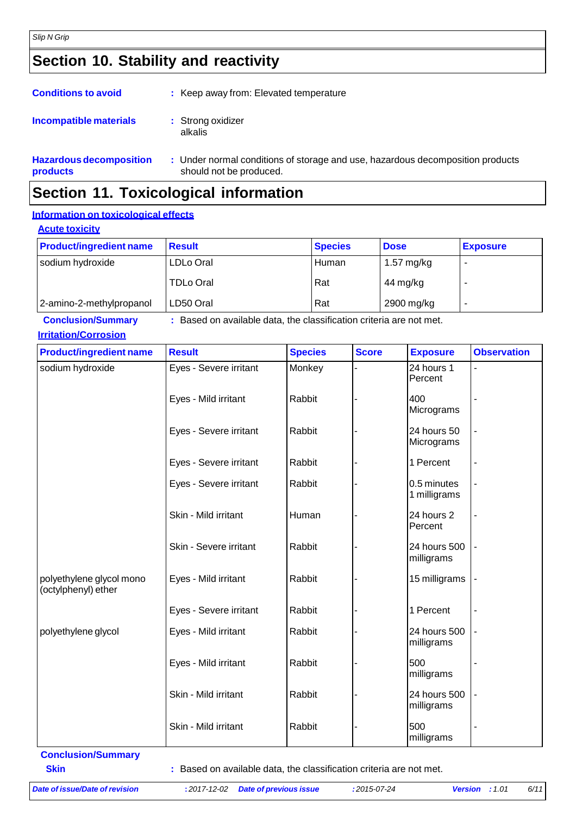### **Section 10. Stability and reactivity**

| <b>Conditions to avoid</b>                 | : Keep away from: Elevated temperature                                                                    |  |
|--------------------------------------------|-----------------------------------------------------------------------------------------------------------|--|
| <b>Incompatible materials</b>              | : Strong oxidizer<br>alkalis                                                                              |  |
| <b>Hazardous decomposition</b><br>products | : Under normal conditions of storage and use, hazardous decomposition products<br>should not be produced. |  |

### **Section 11. Toxicological information**

#### **Information on toxicological effects**

| <b>Acute toxicity</b> |
|-----------------------|
|-----------------------|

| <b>Product/ingredient name</b> | <b>Result</b>    | <b>Species</b> | <b>Dose</b> | <b>Exposure</b> |
|--------------------------------|------------------|----------------|-------------|-----------------|
| sodium hydroxide               | LDLo Oral        | Human          | 1.57 mg/kg  |                 |
|                                | <b>TDLo Oral</b> | Rat            | 44 mg/kg    |                 |
| 2-amino-2-methylpropanol       | LD50 Oral        | Rat            | 2900 mg/kg  |                 |

**Conclusion/Summary :** Based on available data, the classification criteria are not met.

|  | <b>Irritation/Corrosion</b> |
|--|-----------------------------|
|  |                             |

| <b>Product/ingredient name</b>                  | <b>Result</b>          | <b>Species</b> | <b>Score</b> | <b>Exposure</b>             | <b>Observation</b> |
|-------------------------------------------------|------------------------|----------------|--------------|-----------------------------|--------------------|
| sodium hydroxide                                | Eyes - Severe irritant | Monkey         |              | 24 hours 1<br>Percent       |                    |
|                                                 | Eyes - Mild irritant   | Rabbit         |              | 400<br>Micrograms           |                    |
|                                                 | Eyes - Severe irritant | Rabbit         |              | 24 hours 50<br>Micrograms   |                    |
|                                                 | Eyes - Severe irritant | Rabbit         |              | 1 Percent                   |                    |
|                                                 | Eyes - Severe irritant | Rabbit         |              | 0.5 minutes<br>1 milligrams |                    |
|                                                 | Skin - Mild irritant   | Human          |              | 24 hours 2<br>Percent       |                    |
|                                                 | Skin - Severe irritant | Rabbit         |              | 24 hours 500<br>milligrams  |                    |
| polyethylene glycol mono<br>(octylphenyl) ether | Eyes - Mild irritant   | Rabbit         |              | 15 milligrams               |                    |
|                                                 | Eyes - Severe irritant | Rabbit         |              | 1 Percent                   |                    |
| polyethylene glycol                             | Eyes - Mild irritant   | Rabbit         |              | 24 hours 500<br>milligrams  |                    |
|                                                 | Eyes - Mild irritant   | Rabbit         |              | 500<br>milligrams           |                    |
|                                                 | Skin - Mild irritant   | Rabbit         |              | 24 hours 500<br>milligrams  |                    |
|                                                 | Skin - Mild irritant   | Rabbit         |              | 500<br>milligrams           |                    |

**Conclusion/Summary**

**Skin Example 20 Skin Example 20 Skin Example 20 Skin Example 20 Skin** *z* **Based on available data, the classification criteria are not met.**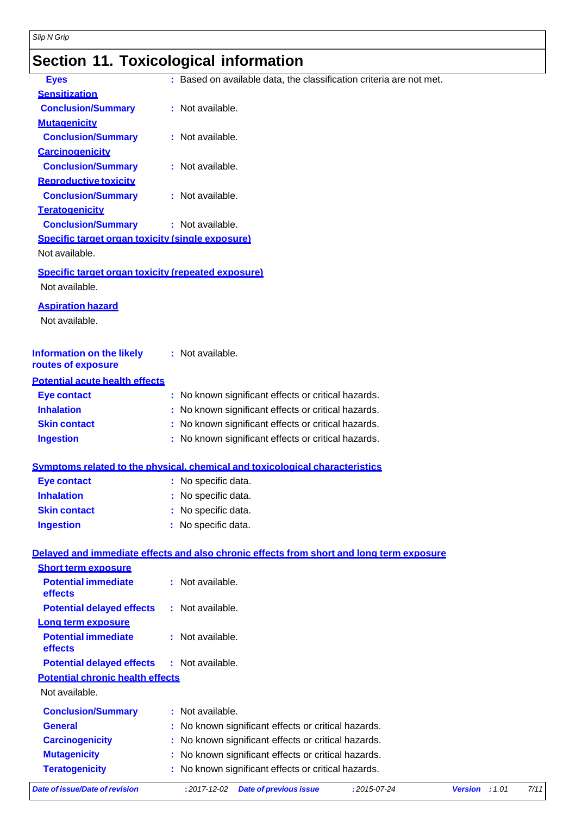### **Section 11. Toxicological information**

| <b>Eyes</b>                                              | : Based on available data, the classification criteria are not met.                      |                                                   |  |      |
|----------------------------------------------------------|------------------------------------------------------------------------------------------|---------------------------------------------------|--|------|
| <b>Sensitization</b>                                     |                                                                                          |                                                   |  |      |
| <b>Conclusion/Summary</b>                                | : Not available.                                                                         |                                                   |  |      |
| <b>Mutagenicity</b>                                      |                                                                                          |                                                   |  |      |
| <b>Conclusion/Summary</b>                                | : Not available.                                                                         |                                                   |  |      |
| <b>Carcinogenicity</b>                                   |                                                                                          |                                                   |  |      |
| <b>Conclusion/Summary</b>                                | : Not available.                                                                         |                                                   |  |      |
| <b>Reproductive toxicity</b>                             |                                                                                          |                                                   |  |      |
| <b>Conclusion/Summary</b>                                | : Not available.                                                                         |                                                   |  |      |
| <b>Teratogenicity</b>                                    |                                                                                          |                                                   |  |      |
| <b>Conclusion/Summary</b>                                | : Not available.                                                                         |                                                   |  |      |
| Specific target organ toxicity (single exposure)         |                                                                                          |                                                   |  |      |
| Not available.                                           |                                                                                          |                                                   |  |      |
| Specific target organ toxicity (repeated exposure)       |                                                                                          |                                                   |  |      |
| Not available.                                           |                                                                                          |                                                   |  |      |
|                                                          |                                                                                          |                                                   |  |      |
| <b>Aspiration hazard</b>                                 |                                                                                          |                                                   |  |      |
| Not available.                                           |                                                                                          |                                                   |  |      |
|                                                          |                                                                                          |                                                   |  |      |
| <b>Information on the likely</b>                         | : Not available.                                                                         |                                                   |  |      |
| routes of exposure                                       |                                                                                          |                                                   |  |      |
| <b>Potential acute health effects</b>                    |                                                                                          |                                                   |  |      |
| <b>Eye contact</b>                                       | : No known significant effects or critical hazards.                                      |                                                   |  |      |
| <b>Inhalation</b>                                        | : No known significant effects or critical hazards.                                      |                                                   |  |      |
| <b>Skin contact</b>                                      | : No known significant effects or critical hazards.                                      |                                                   |  |      |
| <b>Ingestion</b>                                         | : No known significant effects or critical hazards.                                      |                                                   |  |      |
|                                                          |                                                                                          |                                                   |  |      |
|                                                          | Symptoms related to the physical, chemical and toxicological characteristics             |                                                   |  |      |
| <b>Eye contact</b>                                       | : No specific data.                                                                      |                                                   |  |      |
| <b>Inhalation</b>                                        | : No specific data.                                                                      |                                                   |  |      |
| <b>Skin contact</b>                                      | No specific data.                                                                        |                                                   |  |      |
| <b>Ingestion</b>                                         | No specific data.                                                                        |                                                   |  |      |
|                                                          |                                                                                          |                                                   |  |      |
|                                                          | Delayed and immediate effects and also chronic effects from short and long term exposure |                                                   |  |      |
| <b>Short term exposure</b><br><b>Potential immediate</b> | : Not available.                                                                         |                                                   |  |      |
| effects                                                  |                                                                                          |                                                   |  |      |
| <b>Potential delayed effects</b>                         | : Not available.                                                                         |                                                   |  |      |
| Long term exposure                                       |                                                                                          |                                                   |  |      |
| <b>Potential immediate</b>                               | : Not available.                                                                         |                                                   |  |      |
| effects                                                  |                                                                                          |                                                   |  |      |
| <b>Potential delayed effects</b>                         | : Not available.                                                                         |                                                   |  |      |
| <b>Potential chronic health effects</b>                  |                                                                                          |                                                   |  |      |
| Not available.                                           |                                                                                          |                                                   |  |      |
| <b>Conclusion/Summary</b>                                | : Not available.                                                                         |                                                   |  |      |
| <b>General</b>                                           |                                                                                          |                                                   |  |      |
| <b>Carcinogenicity</b>                                   | No known significant effects or critical hazards.                                        |                                                   |  |      |
| <b>Mutagenicity</b>                                      | No known significant effects or critical hazards.                                        | No known significant effects or critical hazards. |  |      |
| <b>Teratogenicity</b>                                    | No known significant effects or critical hazards.                                        |                                                   |  |      |
|                                                          |                                                                                          |                                                   |  |      |
| <b>Date of issue/Date of revision</b>                    | <b>Date of previous issue</b><br>$: 2017 - 12 - 02$<br>:2015-07-24                       | Version : 1.01                                    |  | 7/11 |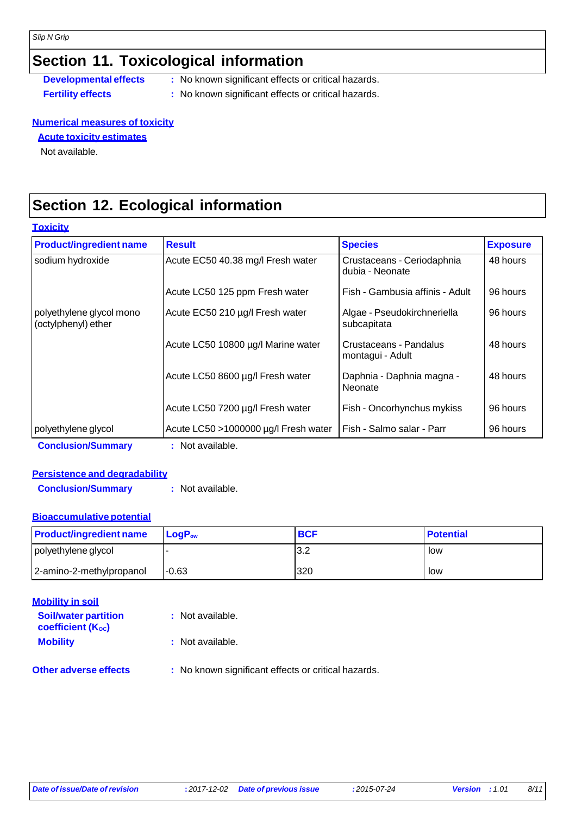#### **Section 11. Toxicological information**

**Developmental effects** : No known significant effects or critical hazards.

- 
- **Fertility effects :** No known significant effects or critical hazards.

#### **Numerical measures of toxicity**

#### **Acute toxicity estimates**

Not available.

### **Section 12. Ecological information**

| <u>Toxicity</u>                                 |                                      |                                               |                 |
|-------------------------------------------------|--------------------------------------|-----------------------------------------------|-----------------|
| <b>Product/ingredient name</b>                  | <b>Result</b>                        | <b>Species</b>                                | <b>Exposure</b> |
| sodium hydroxide                                | Acute EC50 40.38 mg/l Fresh water    | Crustaceans - Ceriodaphnia<br>dubia - Neonate | 48 hours        |
|                                                 | Acute LC50 125 ppm Fresh water       | Fish - Gambusia affinis - Adult               | 96 hours        |
| polyethylene glycol mono<br>(octylphenyl) ether | Acute EC50 210 µg/l Fresh water      | Algae - Pseudokirchneriella<br>subcapitata    | 96 hours        |
|                                                 | Acute LC50 10800 µg/l Marine water   | Crustaceans - Pandalus<br>montagui - Adult    | 48 hours        |
|                                                 | Acute LC50 8600 µg/l Fresh water     | Daphnia - Daphnia magna -<br>Neonate          | 48 hours        |
|                                                 | Acute LC50 7200 µg/l Fresh water     | Fish - Oncorhynchus mykiss                    | 96 hours        |
| polyethylene glycol                             | Acute LC50 >1000000 µg/l Fresh water | Fish - Salmo salar - Parr                     | 96 hours        |
| <b>Conclusion/Summary</b>                       | : Not available.                     |                                               |                 |

#### **Persistence and degradability**

**Conclusion/Summary :** Not available.

#### **Bioaccumulative potential**

| <b>Product/ingredient name</b> | $\mathsf{LoaP}_\mathsf{ow}$ | <b>BCF</b> | <b>Potential</b> |
|--------------------------------|-----------------------------|------------|------------------|
| polyethylene glycol            |                             | J.Z        | low              |
| 2-amino-2-methylpropanol       | $-0.63$                     | 320        | low              |

| <b>Mobility in soil</b>                                 |                                                     |
|---------------------------------------------------------|-----------------------------------------------------|
| <b>Soil/water partition</b><br><b>coefficient (Koc)</b> | : Not available.                                    |
| <b>Mobility</b>                                         | : Not available.                                    |
| <b>Other adverse effects</b>                            | : No known significant effects or critical hazards. |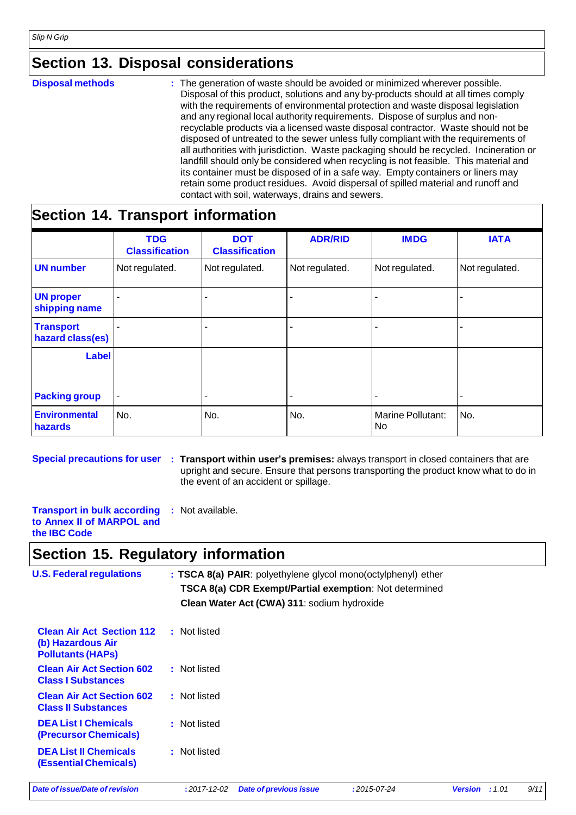#### **Section 13. Disposal considerations**

**Disposal methods :** The generation of waste should be avoided or minimized wherever possible. Disposal of this product, solutions and any by-products should at all times comply with the requirements of environmental protection and waste disposal legislation and any regional local authority requirements. Dispose of surplus and nonrecyclable products via a licensed waste disposal contractor. Waste should not be disposed of untreated to the sewer unless fully compliant with the requirements of all authorities with jurisdiction. Waste packaging should be recycled. Incineration or landfill should only be considered when recycling is not feasible. This material and its container must be disposed of in a safe way. Empty containers or liners may retain some product residues. Avoid dispersal of spilled material and runoff and contact with soil, waterways, drains and sewers.

#### **Section 14. Transport information**

|                                           | <b>TDG</b><br><b>Classification</b> | <b>DOT</b><br><b>Classification</b> | <b>ADR/RID</b> | <b>IMDG</b>             | <b>IATA</b>    |
|-------------------------------------------|-------------------------------------|-------------------------------------|----------------|-------------------------|----------------|
| <b>UN number</b>                          | Not regulated.                      | Not regulated.                      | Not regulated. | Not regulated.          | Not regulated. |
| <b>UN proper</b><br>shipping name         |                                     | ۰                                   |                |                         |                |
| <b>Transport</b><br>۰<br>hazard class(es) |                                     |                                     |                |                         |                |
| Label                                     |                                     |                                     |                |                         |                |
| <b>Packing group</b>                      | $\overline{\phantom{a}}$            | $\blacksquare$                      | ٠              | ٠                       | ۰              |
| <b>Environmental</b><br>hazards           | No.                                 | No.                                 | No.            | Marine Pollutant:<br>No | No.            |

**Special precautions for user : Transport within user's premises:** always transport in closed containers that are upright and secure. Ensure that persons transporting the product know what to do in the event of an accident or spillage.

**Transport in bulk according to Annex II of MARPOL and the IBC Code :** Not available.

#### **Section 15. Regulatory information**

| <b>U.S. Federal regulations</b>                                                   | : TSCA 8(a) PAIR: polyethylene glycol mono(octylphenyl) ether<br>TSCA 8(a) CDR Exempt/Partial exemption: Not determined<br>Clean Water Act (CWA) 311: sodium hydroxide |  |  |
|-----------------------------------------------------------------------------------|------------------------------------------------------------------------------------------------------------------------------------------------------------------------|--|--|
| <b>Clean Air Act Section 112</b><br>(b) Hazardous Air<br><b>Pollutants (HAPS)</b> | : Not listed                                                                                                                                                           |  |  |
| <b>Clean Air Act Section 602</b><br><b>Class I Substances</b>                     | : Not listed                                                                                                                                                           |  |  |
| <b>Clean Air Act Section 602</b><br><b>Class II Substances</b>                    | : Not listed                                                                                                                                                           |  |  |
| <b>DEA List I Chemicals</b><br>(Precursor Chemicals)                              | : Not listed                                                                                                                                                           |  |  |
| <b>DEA List II Chemicals</b><br><b>(Essential Chemicals)</b>                      | : Not listed                                                                                                                                                           |  |  |

*Date of issue/Date of revision* **:** *2017-12-02 Date of previous issue :2015-07-24 Version : 1.01 9/11*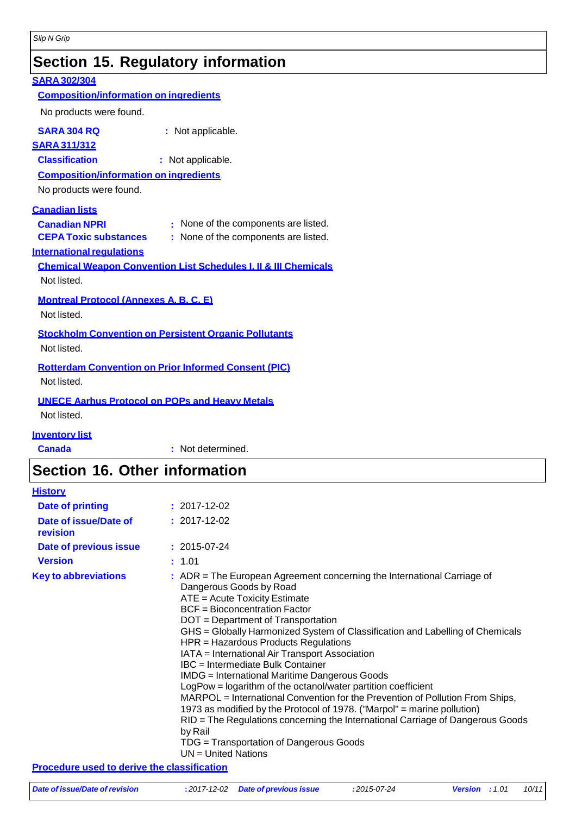## **Section 15. Regulatory information**

| <b>SARA 302/304</b>                                                        |                                                              |  |  |  |
|----------------------------------------------------------------------------|--------------------------------------------------------------|--|--|--|
| <b>Composition/information on ingredients</b>                              |                                                              |  |  |  |
| No products were found.                                                    |                                                              |  |  |  |
| <b>SARA 304 RQ</b>                                                         | : Not applicable.                                            |  |  |  |
| <b>SARA 311/312</b>                                                        |                                                              |  |  |  |
| <b>Classification</b>                                                      | : Not applicable.                                            |  |  |  |
|                                                                            | <b>Composition/information on ingredients</b>                |  |  |  |
| No products were found.                                                    |                                                              |  |  |  |
| <u>Canadian lists</u>                                                      |                                                              |  |  |  |
| <b>Canadian NPRI</b>                                                       | : None of the components are listed.                         |  |  |  |
| <b>CEPA Toxic substances</b>                                               | : None of the components are listed.                         |  |  |  |
| <b>International requiations</b>                                           |                                                              |  |  |  |
| <b>Chemical Weapon Convention List Schedules I. II &amp; III Chemicals</b> |                                                              |  |  |  |
| Not listed.                                                                |                                                              |  |  |  |
| <b>Montreal Protocol (Annexes A. B. C. E)</b>                              |                                                              |  |  |  |
| Not listed.                                                                |                                                              |  |  |  |
|                                                                            | <b>Stockholm Convention on Persistent Organic Pollutants</b> |  |  |  |
| Not listed.                                                                |                                                              |  |  |  |
| <b>Rotterdam Convention on Prior Informed Consent (PIC)</b>                |                                                              |  |  |  |
| Not listed.                                                                |                                                              |  |  |  |
| <b>UNECE Aarhus Protocol on POPs and Heavy Metals</b>                      |                                                              |  |  |  |
| Not listed.                                                                |                                                              |  |  |  |
| <b>Inventory list</b>                                                      |                                                              |  |  |  |

**Canada :** Not determined.

#### **Section 16. Other information**

| <b>History</b>                                     |                                                                                                                                                                                                                                                                                                                                                                                                                                                                                                                                                                                                                                                                                                                                                                                                                                                                                           |
|----------------------------------------------------|-------------------------------------------------------------------------------------------------------------------------------------------------------------------------------------------------------------------------------------------------------------------------------------------------------------------------------------------------------------------------------------------------------------------------------------------------------------------------------------------------------------------------------------------------------------------------------------------------------------------------------------------------------------------------------------------------------------------------------------------------------------------------------------------------------------------------------------------------------------------------------------------|
| <b>Date of printing</b>                            | $: 2017 - 12 - 02$                                                                                                                                                                                                                                                                                                                                                                                                                                                                                                                                                                                                                                                                                                                                                                                                                                                                        |
| Date of issue/Date of<br>revision                  | $: 2017 - 12 - 02$                                                                                                                                                                                                                                                                                                                                                                                                                                                                                                                                                                                                                                                                                                                                                                                                                                                                        |
| Date of previous issue                             | $: 2015 - 07 - 24$                                                                                                                                                                                                                                                                                                                                                                                                                                                                                                                                                                                                                                                                                                                                                                                                                                                                        |
| <b>Version</b>                                     | : 1.01                                                                                                                                                                                                                                                                                                                                                                                                                                                                                                                                                                                                                                                                                                                                                                                                                                                                                    |
| <b>Key to abbreviations</b>                        | $:$ ADR = The European Agreement concerning the International Carriage of<br>Dangerous Goods by Road<br>ATE = Acute Toxicity Estimate<br><b>BCF</b> = Bioconcentration Factor<br>DOT = Department of Transportation<br>GHS = Globally Harmonized System of Classification and Labelling of Chemicals<br>HPR = Hazardous Products Regulations<br>IATA = International Air Transport Association<br>IBC = Intermediate Bulk Container<br><b>IMDG</b> = International Maritime Dangerous Goods<br>LogPow = logarithm of the octanol/water partition coefficient<br>MARPOL = International Convention for the Prevention of Pollution From Ships,<br>1973 as modified by the Protocol of 1978. ("Marpol" = marine pollution)<br>RID = The Regulations concerning the International Carriage of Dangerous Goods<br>by Rail<br>TDG = Transportation of Dangerous Goods<br>$UN = United Nations$ |
| <b>Procedure used to derive the classification</b> |                                                                                                                                                                                                                                                                                                                                                                                                                                                                                                                                                                                                                                                                                                                                                                                                                                                                                           |

| Date of issue/Date of revision | : 2017-12-02 Date of previous issue | :2015-07-24 | <b>Version</b> : 1.01 | 10/11 |
|--------------------------------|-------------------------------------|-------------|-----------------------|-------|
|                                |                                     |             |                       |       |